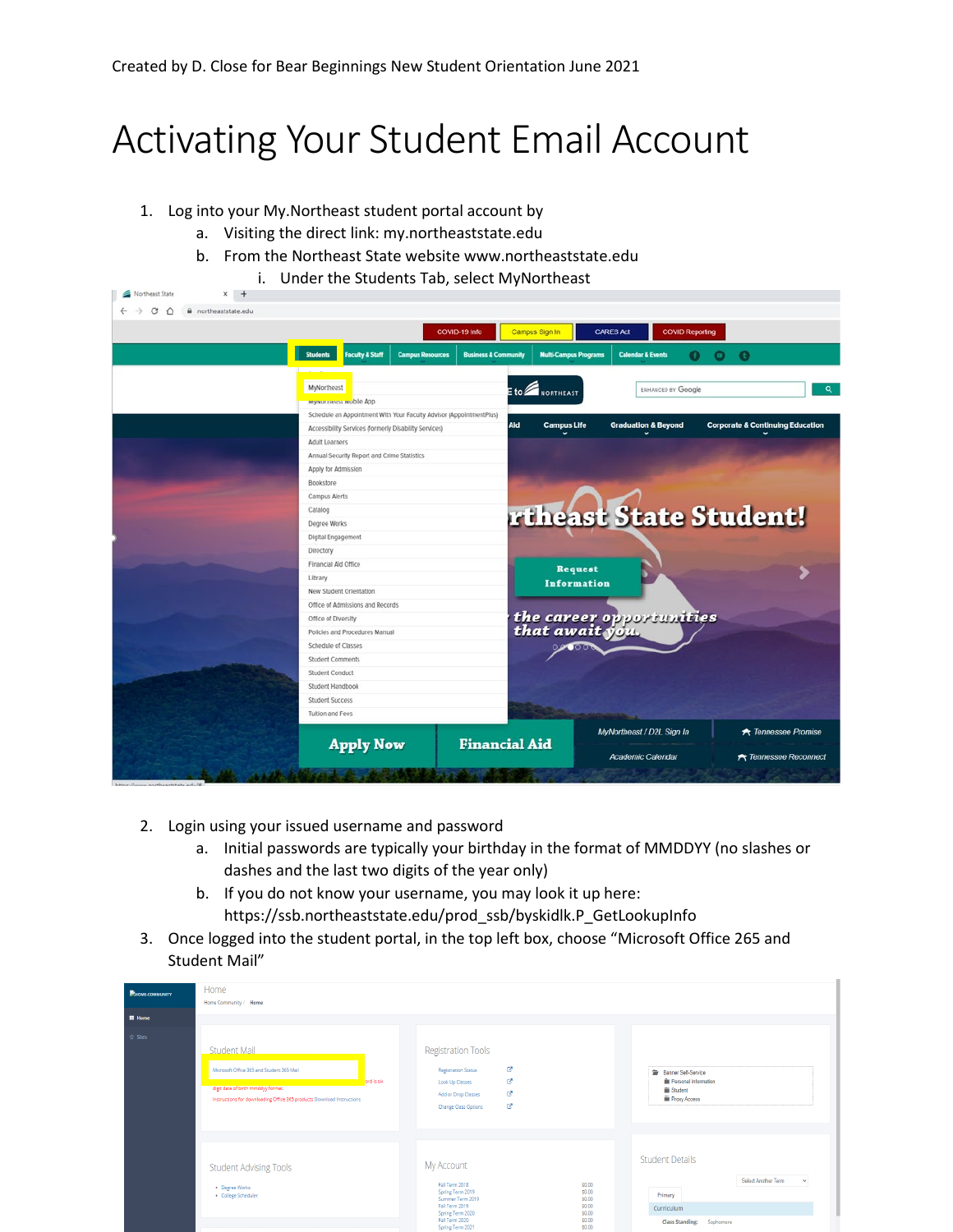## Activating Your Student Email Account

1. Log into your My.Northeast student portal account by

Northeast State

- a. Visiting the direct link: my.northeaststate.edu
- b. From the Northeast State website www.northeaststate.edu
	- i. Under the Students Tab, select MyNortheast  $x +$

| $\rightarrow$<br>C<br>a northeaststate.edu<br>$\hat{p}$ |                                                                                                                                                |                         |                                 |                                    |                                |                                             |  |
|---------------------------------------------------------|------------------------------------------------------------------------------------------------------------------------------------------------|-------------------------|---------------------------------|------------------------------------|--------------------------------|---------------------------------------------|--|
|                                                         | COVID-19 Info                                                                                                                                  |                         |                                 | Campus Sign In<br><b>CARES Act</b> |                                | <b>COVID Reporting</b>                      |  |
|                                                         | <b>Students</b><br><b>Faculty &amp; Staff</b>                                                                                                  | <b>Campus Resources</b> | <b>Business &amp; Community</b> | <b>Multi-Campus Programs</b>       | <b>Calendar &amp; Events</b>   | $\bullet$<br>Θ                              |  |
|                                                         | MyNortheast<br>myrvurureast mubile App                                                                                                         |                         |                                 | $E$ to $\mathbb Z$ northeast       | ENHANCED BY Google             | Q                                           |  |
|                                                         | Schedule an Appointment With Your Faculty Advisor (AppointmentPlus)<br>Accessibility Services (formerly Disability Services)<br>Adult Learners |                         | Aid                             | <b>Campus Life</b>                 | <b>Graduation &amp; Beyond</b> | <b>Corporate &amp; Continuing Education</b> |  |
|                                                         | Annual Security Report and Crime Statistics<br>Apply for Admission<br>Bookstore                                                                |                         |                                 |                                    |                                |                                             |  |
|                                                         | Campus Alerts<br>Catalog<br>Degree Works                                                                                                       |                         |                                 |                                    |                                | rtheast State Student!                      |  |
|                                                         | Digital Engagement<br>Directory<br>Financial Aid Office                                                                                        |                         |                                 |                                    |                                |                                             |  |
|                                                         | Library<br>New Student Orientation<br>Office of Admissions and Records                                                                         |                         |                                 | <b>Request</b><br>Information      |                                |                                             |  |
|                                                         | Office of Diversity<br>Policies and Procedures Manual                                                                                          |                         |                                 |                                    | the career opportunities       |                                             |  |
|                                                         | Schedule of Classes<br><b>Student Comments</b><br>Student Conduct                                                                              |                         |                                 |                                    |                                |                                             |  |
|                                                         | Student Handbook<br>Student Success<br>Tuition and Fees                                                                                        |                         |                                 |                                    |                                |                                             |  |
|                                                         | <b>Apply Now</b>                                                                                                                               |                         | <b>Financial Aid</b>            |                                    | MyNortheast / D2L Sign In      | <b>*</b> Tennessee Promise                  |  |
| https://www.northaartstate.edu/8                        |                                                                                                                                                |                         |                                 |                                    | <b>Academic Calendar</b>       | <b>A</b> Tennessee Reconnect                |  |

- 2. Login using your issued username and password
	- a. Initial passwords are typically your birthday in the format of MMDDYY (no slashes or dashes and the last two digits of the year only)
	- b. If you do not know your username, you may look it up here: https://ssb.northeaststate.edu/prod\_ssb/byskidlk.P\_GetLookupInfo
- 3. Once logged into the student portal, in the top left box, choose "Microsoft Office 265 and Student Mail"

| Home<br><b>PHOME-COMMUNITY</b><br>Home Community / Home<br><b>E</b> Home<br>$\hat{\mathbf{x}}$ Sites<br>Student Mail<br>Microsoft Office 365 and Student 365 Mail<br>ord is six<br>digit date of birth mmddyy format.<br>Instructions for downloading Office 365 products Download Instructions |                                                                      | <b>Registration Tools</b><br>ø<br><b>Registration Status</b><br>ø<br><b>Look Up Classes</b><br>啓<br>Add or Drop Classes<br>ø<br>Change Class Options                                                                   | Banner Self-Service<br>Personal Information<br>Student<br><b>Fill Proxy Access</b>                                                   |  |  |
|-------------------------------------------------------------------------------------------------------------------------------------------------------------------------------------------------------------------------------------------------------------------------------------------------|----------------------------------------------------------------------|------------------------------------------------------------------------------------------------------------------------------------------------------------------------------------------------------------------------|--------------------------------------------------------------------------------------------------------------------------------------|--|--|
|                                                                                                                                                                                                                                                                                                 | <b>Student Advising Tools</b><br>Degree Works<br>· College Scheduler | My Account<br>Fall Term 2018<br>\$0.00<br>Spring Term 2019<br>\$0.00<br>Summer Term 2019<br>\$0.00<br>Fall Term 2019<br>\$0.00<br>Spring Term 2020<br>\$0.00<br>Fall Term 2020<br>\$0.00<br>\$0.00<br>Soring Term 2021 | <b>Student Details</b><br><b>Select Another Term</b><br>$\checkmark$<br>Primary<br>Curriculum<br><b>Class Standing:</b><br>Sophomore |  |  |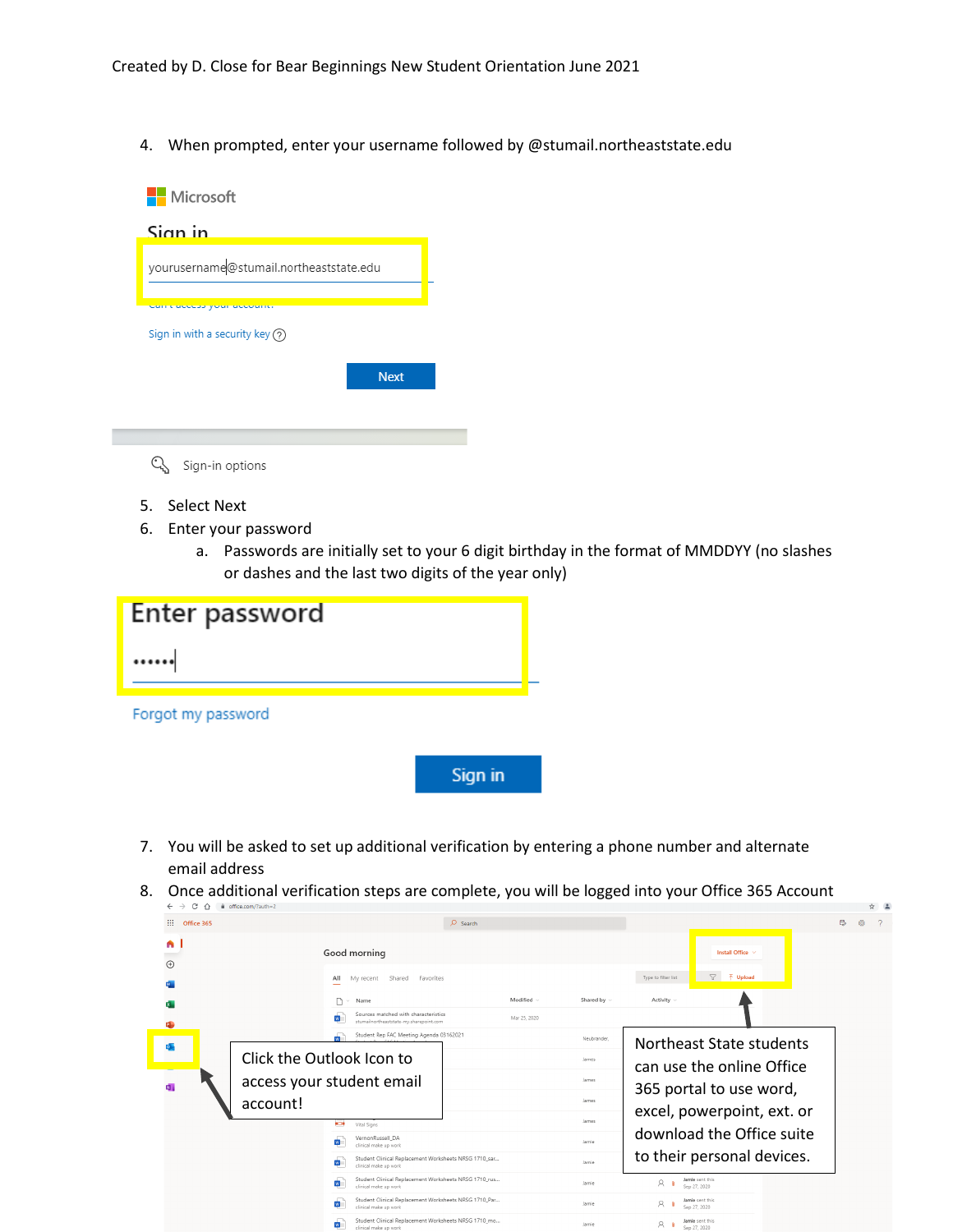4. When prompted, enter your username followed by @stumail.northeaststate.edu



- 5. Select Next
- 6. Enter your password
	- a. Passwords are initially set to your 6 digit birthday in the format of MMDDYY (no slashes or dashes and the last two digits of the year only)

| Enter password     |         |
|--------------------|---------|
|                    |         |
| Forgot my password |         |
|                    | Sign in |

- 7. You will be asked to set up additional verification by entering a phone number and alternate email address
- 8. Once additional verification steps are complete, you will be logged into your Office 365 Account

| C<br>∩<br>$\leftarrow$<br>$\rightarrow$ | ■ office.com/?auth=2                                                                                 |                  |                                                         | ☆ ▲     |  |
|-----------------------------------------|------------------------------------------------------------------------------------------------------|------------------|---------------------------------------------------------|---------|--|
| m<br>Office 365                         | $Q$ Search                                                                                           |                  |                                                         | ₿,<br>懲 |  |
| A<br>$\odot$                            | Good morning                                                                                         |                  | Install Office V                                        |         |  |
|                                         | Shared Favorites<br>All<br>My recent                                                                 |                  | $\nabla$ $\bar{\uparrow}$ Upload<br>Type to filter list |         |  |
|                                         | Modified $\vee$<br>Name                                                                              | Shared by $\sim$ | Activity $\sim$                                         |         |  |
|                                         | Sources matched with characteristics<br>Mar 25, 2020<br>w<br>stumailnortheaststate-mv.sharepoint.com |                  |                                                         |         |  |
| $\circ$                                 | Student Rep FAC Meeting Agenda 03162021                                                              | Neubrander.      | Northeast State students                                |         |  |
|                                         | Click the Outlook Icon to                                                                            | James            | can use the online Office                               |         |  |
| 内:                                      | access your student email                                                                            | James            | 365 portal to use word,                                 |         |  |
|                                         | account!                                                                                             |                  |                                                         |         |  |
|                                         | ⊷<br>Vital Signs                                                                                     | James            | excel, powerpoint, ext. or                              |         |  |
|                                         | VernonRussell_DA<br>w.<br>clinical make up work                                                      | Jamie            | download the Office suite                               |         |  |
|                                         | Student Clinical Replacement Worksheets NRSG 1710 sar<br>w<br>clinical make up work                  | Jamie            | to their personal devices.                              |         |  |
|                                         | Student Clinical Replacement Worksheets NRSG 1710_rus<br>$W =$<br>clinical make up work              | Jamie            | Jamie sent this<br>R<br>Sep 27, 2020                    |         |  |
|                                         | Student Clinical Replacement Worksheets NRSG 1710_Par<br>$\mathbf{w}$<br>clinical make up work       | Jamie            | Jamie sent this<br>R<br>- 0<br>Sep 27, 2020             |         |  |
|                                         | Student Clinical Replacement Worksheets NRSG 1710 mo<br>w<br>clinical make up work                   | Jamie            | Jamie sent this<br>8 <sub>0</sub><br>Sep 27, 2020       |         |  |